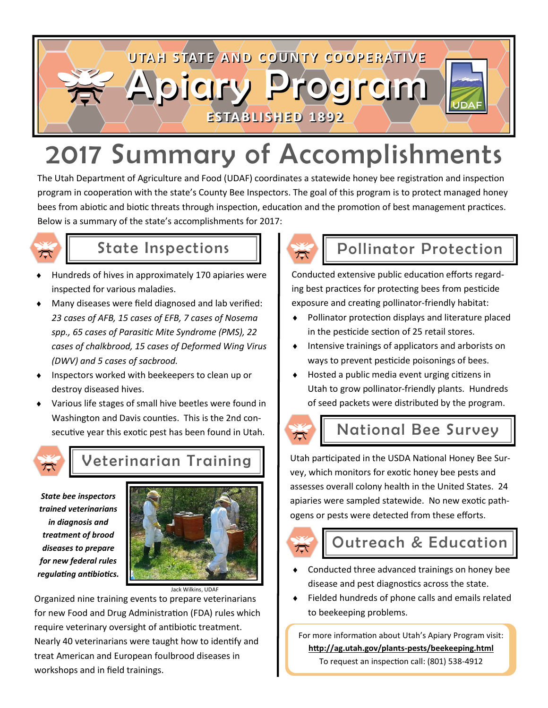

# 2017 Summary of Accomplishments

The Utah Department of Agriculture and Food (UDAF) coordinates a statewide honey bee registration and inspection program in cooperation with the state's County Bee Inspectors. The goal of this program is to protect managed honey bees from abiotic and biotic threats through inspection, education and the promotion of best management practices. Below is a summary of the state's accomplishments for 2017:



- Hundreds of hives in approximately 170 apiaries were inspected for various maladies.
- Many diseases were field diagnosed and lab verified: *23 cases of AFB, 15 cases of EFB, 7 cases of Nosema spp., 65 cases of Parasitic Mite Syndrome (PMS), 22 cases of chalkbrood, 15 cases of Deformed Wing Virus (DWV) and 5 cases of sacbrood.*
- Inspectors worked with beekeepers to clean up or destroy diseased hives.
- Various life stages of small hive beetles were found in Washington and Davis counties. This is the 2nd consecutive year this exotic pest has been found in Utah.



### Veterinarian Training

*State bee inspectors trained veterinarians in diagnosis and treatment of brood diseases to prepare for new federal rules regulating antibiotics.* 



Jack Wilkins, UDAF

Organized nine training events to prepare veterinarians for new Food and Drug Administration (FDA) rules which require veterinary oversight of antibiotic treatment. Nearly 40 veterinarians were taught how to identify and treat American and European foulbrood diseases in workshops and in field trainings.



#### State Inspections Pollinator Protection

Conducted extensive public education efforts regarding best practices for protecting bees from pesticide exposure and creating pollinator-friendly habitat:

- Pollinator protection displays and literature placed in the pesticide section of 25 retail stores.
- $\bullet$  Intensive trainings of applicators and arborists on ways to prevent pesticide poisonings of bees.
- Hosted a public media event urging citizens in Utah to grow pollinator-friendly plants. Hundreds of seed packets were distributed by the program.



#### National Bee Survey

Utah participated in the USDA National Honey Bee Survey, which monitors for exotic honey bee pests and assesses overall colony health in the United States. 24 apiaries were sampled statewide. No new exotic pathogens or pests were detected from these efforts.



### Outreach & Education

- Conducted three advanced trainings on honey bee disease and pest diagnostics across the state.
- Fielded hundreds of phone calls and emails related to beekeeping problems.

For more information about Utah's Apiary Program visit: **http://ag.utah.gov/plants-pests/beekeeping.html** To request an inspection call: (801) 538-4912